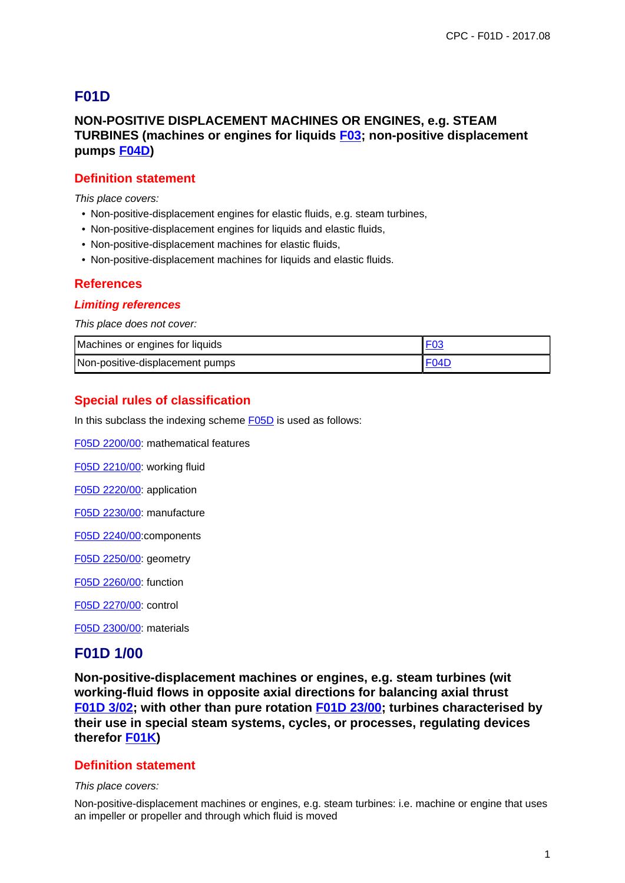# **F01D**

## **NON-POSITIVE DISPLACEMENT MACHINES OR ENGINES, e.g. STEAM TURBINES (machines or engines for liquids F03; non-positive displacement pumps F04D)**

### **Definition statement**

This place covers:

- Non-positive-displacement engines for elastic fluids, e.g. steam turbines,
- Non-positive-displacement engines for liquids and elastic fluids,
- Non-positive-displacement machines for elastic fluids,
- Non-positive-displacement machines for Iiquids and elastic fluids.

#### **References**

#### **Limiting references**

This place does not cover:

| Machines or engines for liquids |  |
|---------------------------------|--|
| Non-positive-displacement pumps |  |

### **Special rules of classification**

In this subclass the indexing scheme F05D is used as follows:

F05D 2200/00: mathematical features

F05D 2210/00: working fluid

F05D 2220/00: application

F05D 2230/00: manufacture

F05D 2240/00:components

F05D 2250/00: geometry

F05D 2260/00: function

F05D 2270/00: control

F05D 2300/00: materials

### **F01D 1/00**

**Non-positive-displacement machines or engines, e.g. steam turbines (wit working-fluid flows in opposite axial directions for balancing axial thrust F01D 3/02; with other than pure rotation F01D 23/00; turbines characterised by their use in special steam systems, cycles, or processes, regulating devices therefor F01K)**

#### **Definition statement**

#### This place covers:

Non-positive-displacement machines or engines, e.g. steam turbines: i.e. machine or engine that uses an impeller or propeller and through which fluid is moved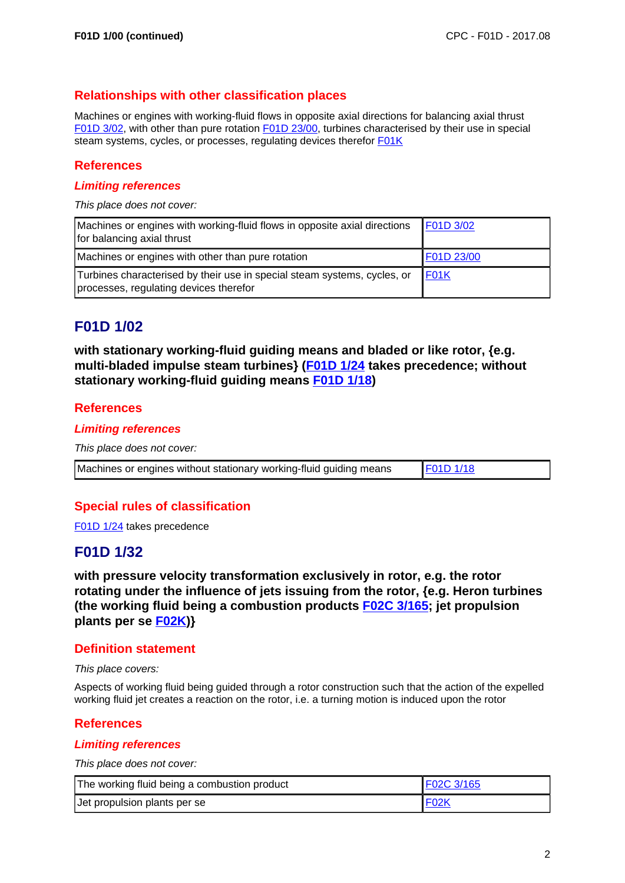### **Relationships with other classification places**

Machines or engines with working-fluid flows in opposite axial directions for balancing axial thrust F01D 3/02, with other than pure rotation F01D 23/00, turbines characterised by their use in special steam systems, cycles, or processes, regulating devices therefor **F01K** 

### **References**

#### **Limiting references**

This place does not cover:

| Machines or engines with working-fluid flows in opposite axial directions<br>for balancing axial thrust            | F01D 3/02  |
|--------------------------------------------------------------------------------------------------------------------|------------|
| Machines or engines with other than pure rotation                                                                  | F01D 23/00 |
| Turbines characterised by their use in special steam systems, cycles, or<br>processes, regulating devices therefor | F01K       |

# **F01D 1/02**

**with stationary working-fluid guiding means and bladed or like rotor, {e.g. multi-bladed impulse steam turbines} (F01D 1/24 takes precedence; without stationary working-fluid guiding means F01D 1/18)**

#### **References**

#### **Limiting references**

This place does not cover:

Machines or engines without stationary working-fluid guiding means  $\sqrt{\frac{F01D\ 1/18}{F01D\ 1/18}}$ 

### **Special rules of classification**

F01D 1/24 takes precedence

## **F01D 1/32**

**with pressure velocity transformation exclusively in rotor, e.g. the rotor rotating under the influence of jets issuing from the rotor, {e.g. Heron turbines (the working fluid being a combustion products F02C 3/165; jet propulsion plants per se F02K)}**

#### **Definition statement**

This place covers:

Aspects of working fluid being guided through a rotor construction such that the action of the expelled working fluid jet creates a reaction on the rotor, i.e. a turning motion is induced upon the rotor

#### **References**

#### **Limiting references**

This place does not cover:

| The working fluid being a combustion product | <b>F02C 3/165</b> |
|----------------------------------------------|-------------------|
| Jet propulsion plants per se                 | FO2K              |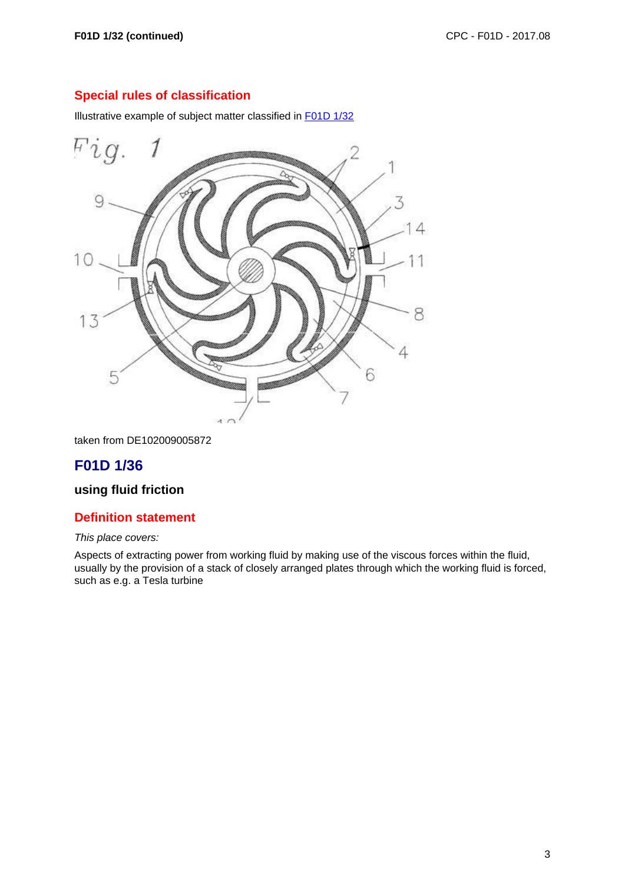Illustrative example of subject matter classified in F01D 1/32



taken from DE102009005872

# **F01D 1/36**

## **using fluid friction**

#### **Definition statement**

#### This place covers:

Aspects of extracting power from working fluid by making use of the viscous forces within the fluid, usually by the provision of a stack of closely arranged plates through which the working fluid is forced, such as e.g. a Tesla turbine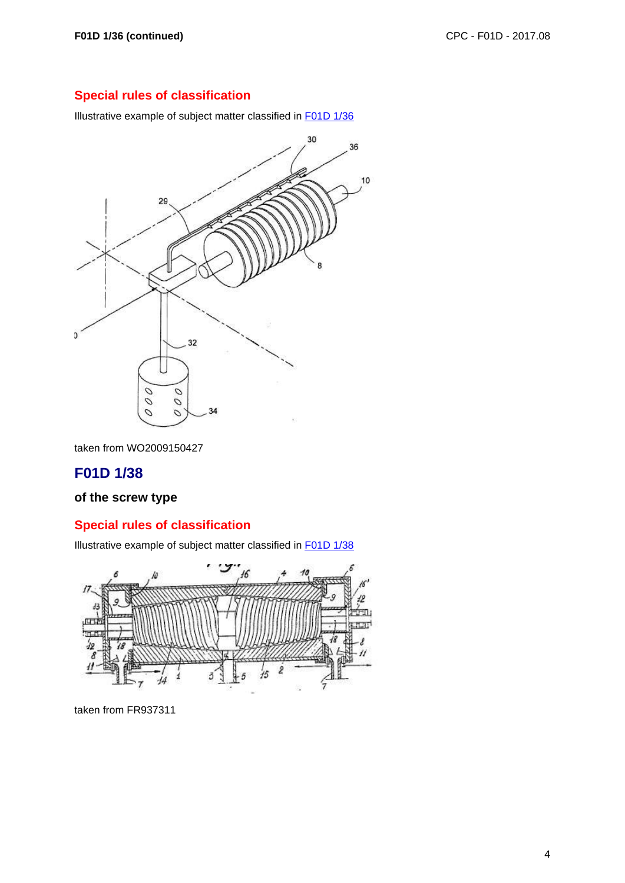Illustrative example of subject matter classified in F01D 1/36



taken from WO2009150427

# **F01D 1/38**

### **of the screw type**

## **Special rules of classification**

Illustrative example of subject matter classified in F01D 1/38

![](_page_3_Figure_10.jpeg)

taken from FR937311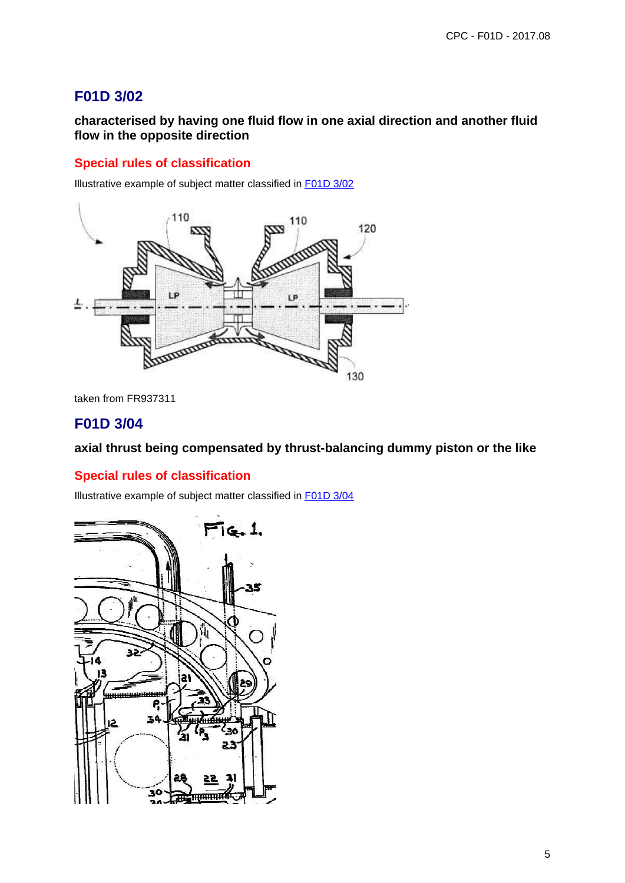# **F01D 3/02**

**characterised by having one fluid flow in one axial direction and another fluid flow in the opposite direction**

## **Special rules of classification**

Illustrative example of subject matter classified in F01D 3/02

![](_page_4_Picture_5.jpeg)

taken from FR937311

## **F01D 3/04**

#### **axial thrust being compensated by thrust-balancing dummy piston or the like**

#### **Special rules of classification**

Illustrative example of subject matter classified in F01D 3/04

![](_page_4_Figure_11.jpeg)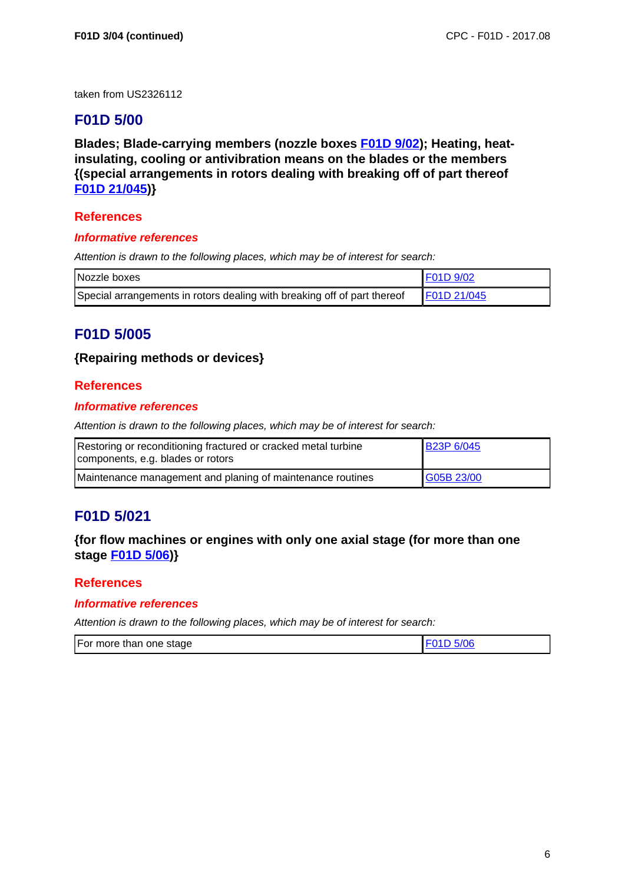taken from US2326112

# **F01D 5/00**

**Blades; Blade-carrying members (nozzle boxes F01D 9/02); Heating, heatinsulating, cooling or antivibration means on the blades or the members {(special arrangements in rotors dealing with breaking off of part thereof F01D 21/045)}**

### **References**

#### **Informative references**

Attention is drawn to the following places, which may be of interest for search:

| Nozzle boxes                                                             | I F01D 9/02 |
|--------------------------------------------------------------------------|-------------|
| Special arrangements in rotors dealing with breaking off of part thereof | F01D 21/045 |

# **F01D 5/005**

### **{Repairing methods or devices}**

### **References**

#### **Informative references**

Attention is drawn to the following places, which may be of interest for search:

| Restoring or reconditioning fractured or cracked metal turbine<br>components, e.g. blades or rotors | <b>B23P 6/045</b> |
|-----------------------------------------------------------------------------------------------------|-------------------|
| Maintenance management and planing of maintenance routines                                          | G05B 23/00        |

# **F01D 5/021**

### **{for flow machines or engines with only one axial stage (for more than one stage F01D 5/06)}**

### **References**

#### **Informative references**

| For more than one stage |  |
|-------------------------|--|
|-------------------------|--|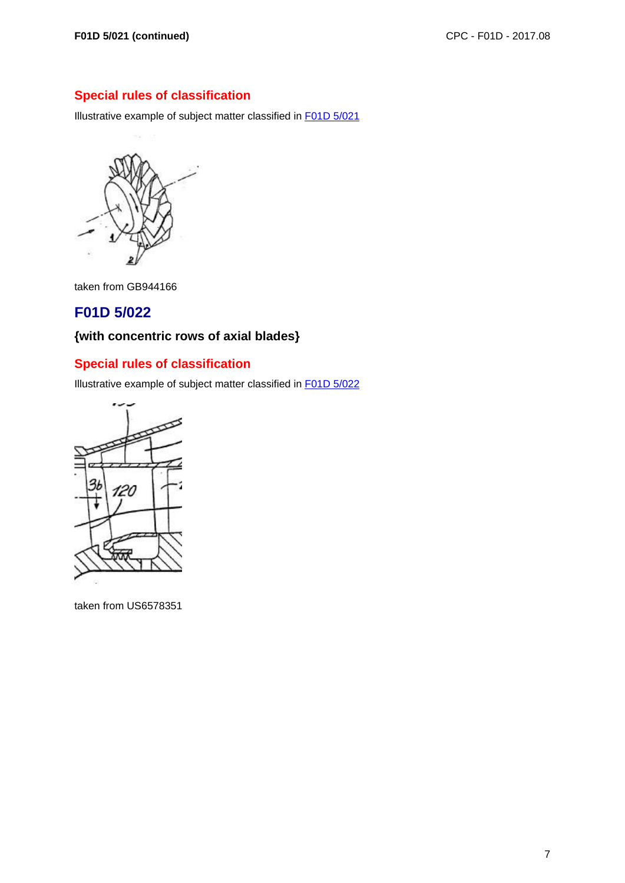Illustrative example of subject matter classified in F01D 5/021

![](_page_6_Picture_4.jpeg)

taken from GB944166

# **F01D 5/022**

# **{with concentric rows of axial blades}**

# **Special rules of classification**

Illustrative example of subject matter classified in F01D 5/022

![](_page_6_Figure_10.jpeg)

taken from US6578351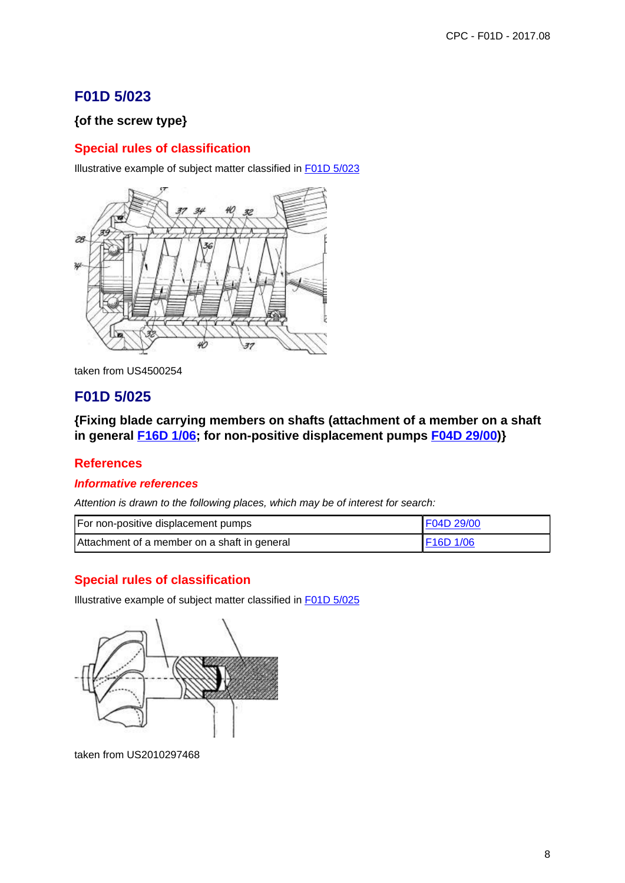# **F01D 5/023**

## **{of the screw type}**

## **Special rules of classification**

Illustrative example of subject matter classified in F01D 5/023

![](_page_7_Picture_5.jpeg)

taken from US4500254

# **F01D 5/025**

**{Fixing blade carrying members on shafts (attachment of a member on a shaft in general F16D 1/06; for non-positive displacement pumps F04D 29/00)}**

### **References**

#### **Informative references**

Attention is drawn to the following places, which may be of interest for search:

| For non-positive displacement pumps          | F04D 29/00        |
|----------------------------------------------|-------------------|
| Attachment of a member on a shaft in general | $\vert$ F16D 1/06 |

## **Special rules of classification**

Illustrative example of subject matter classified in F01D 5/025

![](_page_7_Picture_15.jpeg)

taken from US2010297468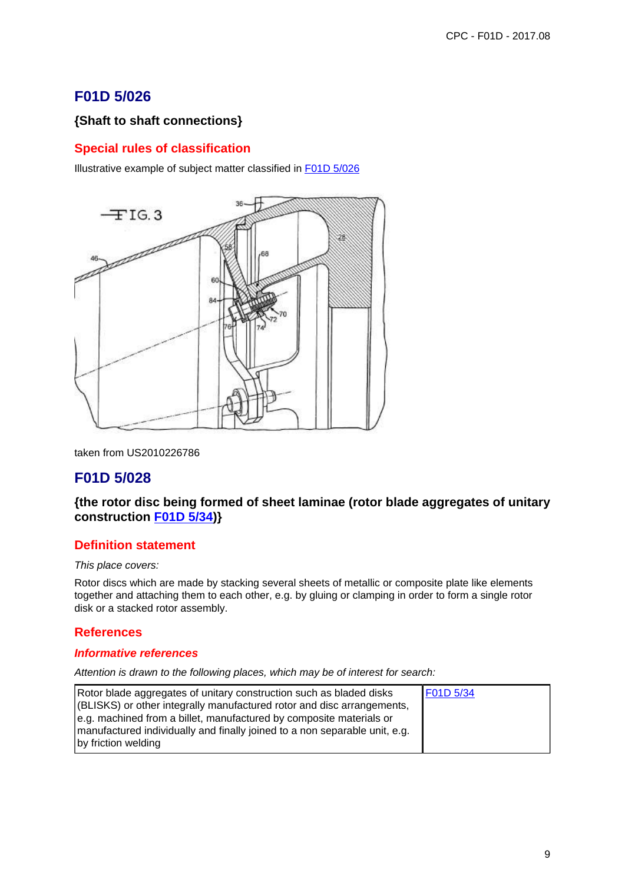# **F01D 5/026**

## **{Shaft to shaft connections}**

## **Special rules of classification**

Illustrative example of subject matter classified in F01D 5/026

![](_page_8_Figure_5.jpeg)

taken from US2010226786

# **F01D 5/028**

### **{the rotor disc being formed of sheet laminae (rotor blade aggregates of unitary construction F01D 5/34)}**

### **Definition statement**

#### This place covers:

Rotor discs which are made by stacking several sheets of metallic or composite plate like elements together and attaching them to each other, e.g. by gluing or clamping in order to form a single rotor disk or a stacked rotor assembly.

### **References**

#### **Informative references**

| Rotor blade aggregates of unitary construction such as bladed disks<br>(BLISKS) or other integrally manufactured rotor and disc arrangements,<br>e.g. machined from a billet, manufactured by composite materials or | F01D 5/34 |
|----------------------------------------------------------------------------------------------------------------------------------------------------------------------------------------------------------------------|-----------|
| manufactured individually and finally joined to a non separable unit, e.g.<br>by friction welding                                                                                                                    |           |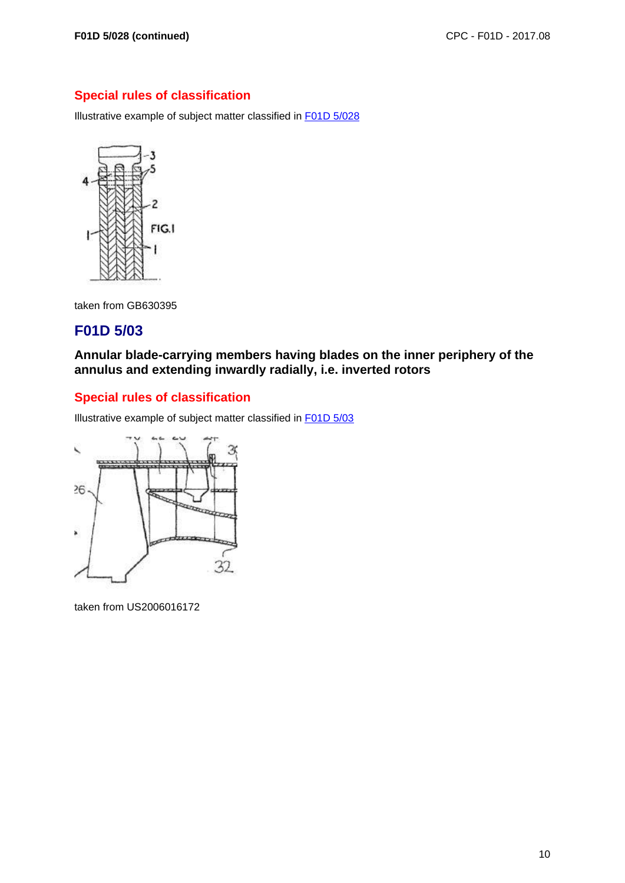Illustrative example of subject matter classified in F01D 5/028

![](_page_9_Figure_4.jpeg)

taken from GB630395

# **F01D 5/03**

**Annular blade-carrying members having blades on the inner periphery of the annulus and extending inwardly radially, i.e. inverted rotors**

## **Special rules of classification**

Illustrative example of subject matter classified in F01D 5/03

![](_page_9_Figure_10.jpeg)

taken from US2006016172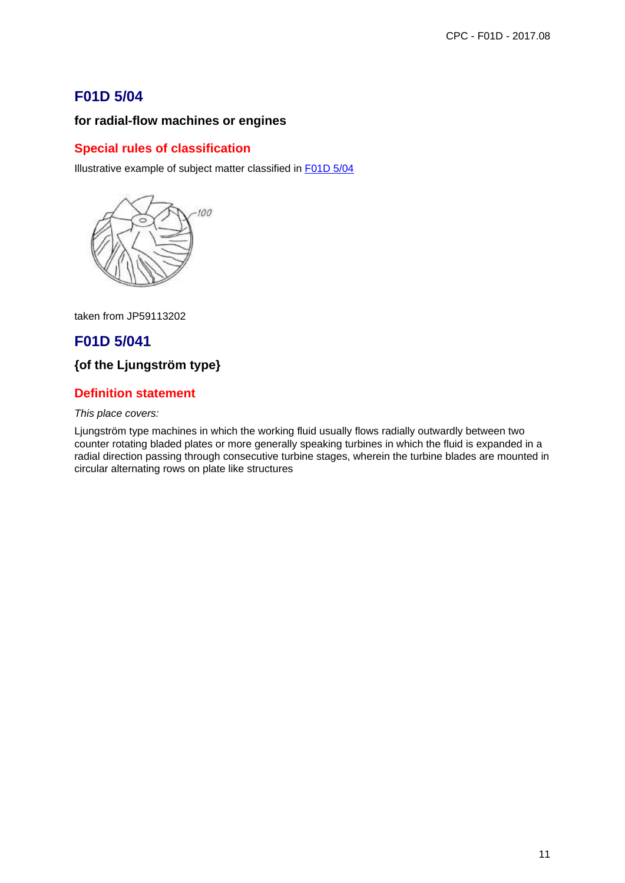# **F01D 5/04**

## **for radial-flow machines or engines**

## **Special rules of classification**

Illustrative example of subject matter classified in F01D 5/04

![](_page_10_Picture_5.jpeg)

taken from JP59113202

# **F01D 5/041**

## **{of the Ljungström type}**

## **Definition statement**

#### This place covers:

Ljungström type machines in which the working fluid usually flows radially outwardly between two counter rotating bladed plates or more generally speaking turbines in which the fluid is expanded in a radial direction passing through consecutive turbine stages, wherein the turbine blades are mounted in circular alternating rows on plate like structures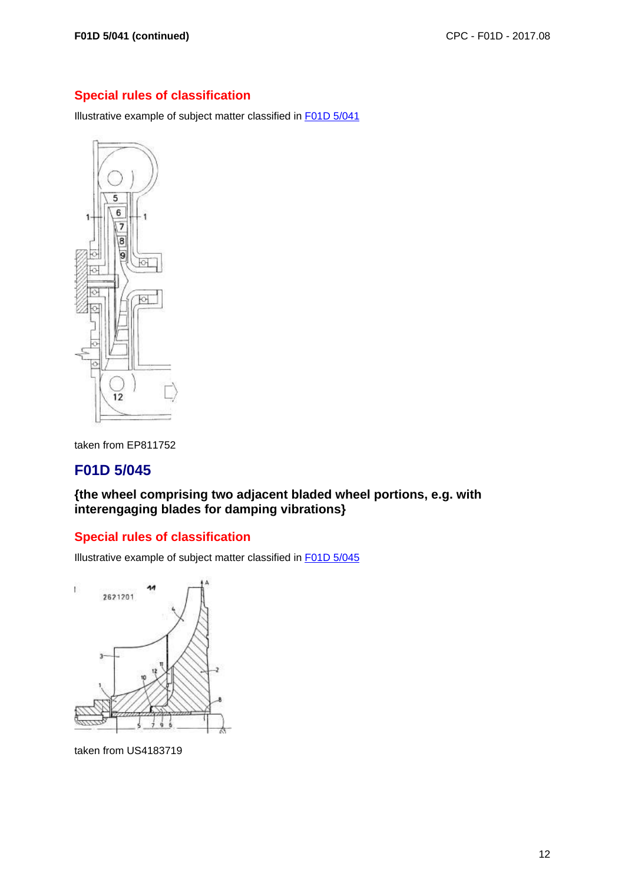Illustrative example of subject matter classified in F01D 5/041

![](_page_11_Figure_4.jpeg)

taken from EP811752

# **F01D 5/045**

**{the wheel comprising two adjacent bladed wheel portions, e.g. with interengaging blades for damping vibrations}**

## **Special rules of classification**

Illustrative example of subject matter classified in F01D 5/045

![](_page_11_Figure_10.jpeg)

taken from US4183719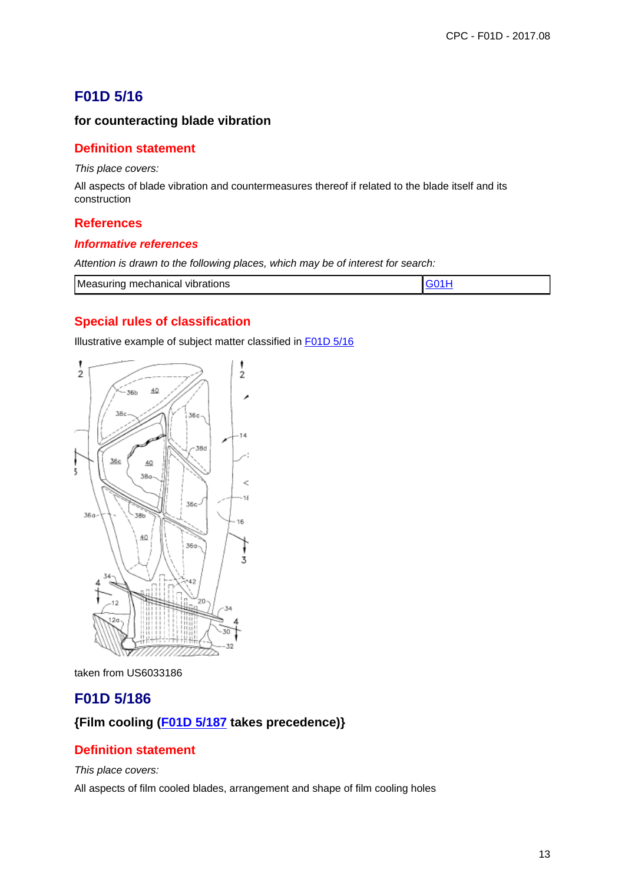# **F01D 5/16**

### **for counteracting blade vibration**

### **Definition statement**

This place covers:

All aspects of blade vibration and countermeasures thereof if related to the blade itself and its construction

#### **References**

#### **Informative references**

Attention is drawn to the following places, which may be of interest for search:

| Measuring mechanical vibrations |  |
|---------------------------------|--|
|---------------------------------|--|

## **Special rules of classification**

Illustrative example of subject matter classified in F01D 5/16

![](_page_12_Figure_12.jpeg)

taken from US6033186

## **F01D 5/186**

### **{Film cooling (F01D 5/187 takes precedence)}**

### **Definition statement**

This place covers:

All aspects of film cooled blades, arrangement and shape of film cooling holes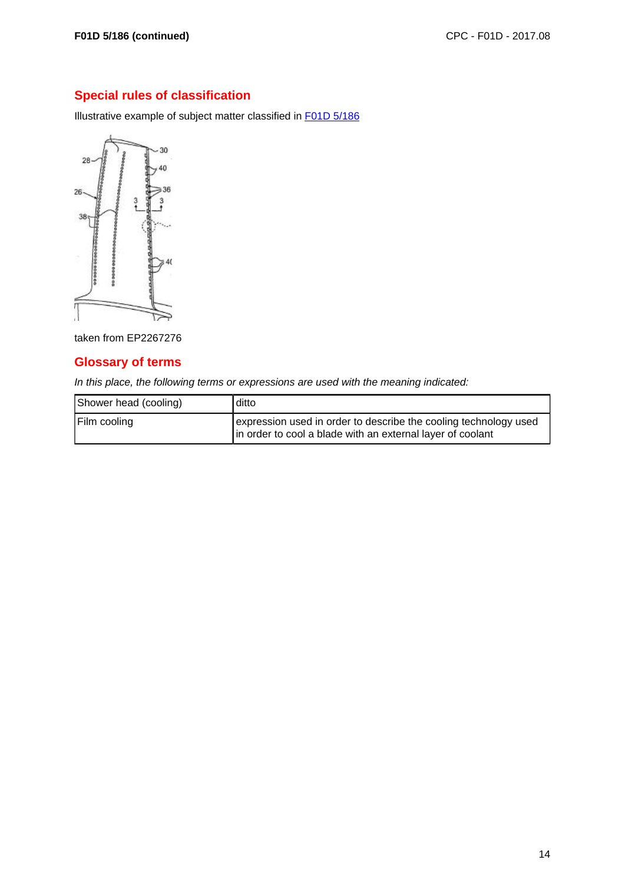Illustrative example of subject matter classified in F01D 5/186

![](_page_13_Figure_4.jpeg)

taken from EP2267276

## **Glossary of terms**

In this place, the following terms or expressions are used with the meaning indicated:

| Shower head (cooling) | ditto                                                                                                                          |
|-----------------------|--------------------------------------------------------------------------------------------------------------------------------|
| Film cooling          | expression used in order to describe the cooling technology used<br>In order to cool a blade with an external layer of coolant |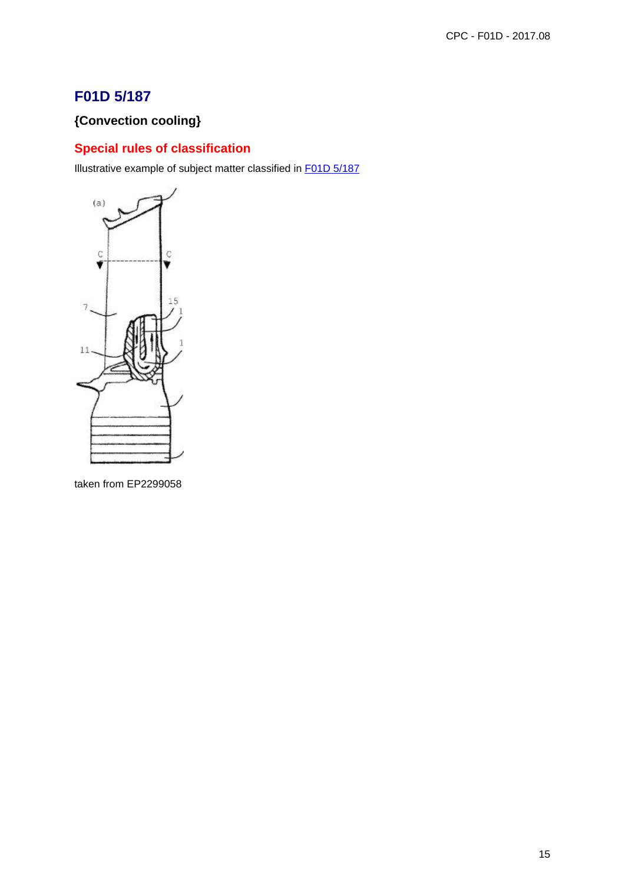# **F01D 5/187**

# **{Convection cooling}**

# **Special rules of classification**

Illustrative example of subject matter classified in F01D 5/187

![](_page_14_Figure_5.jpeg)

taken from EP2299058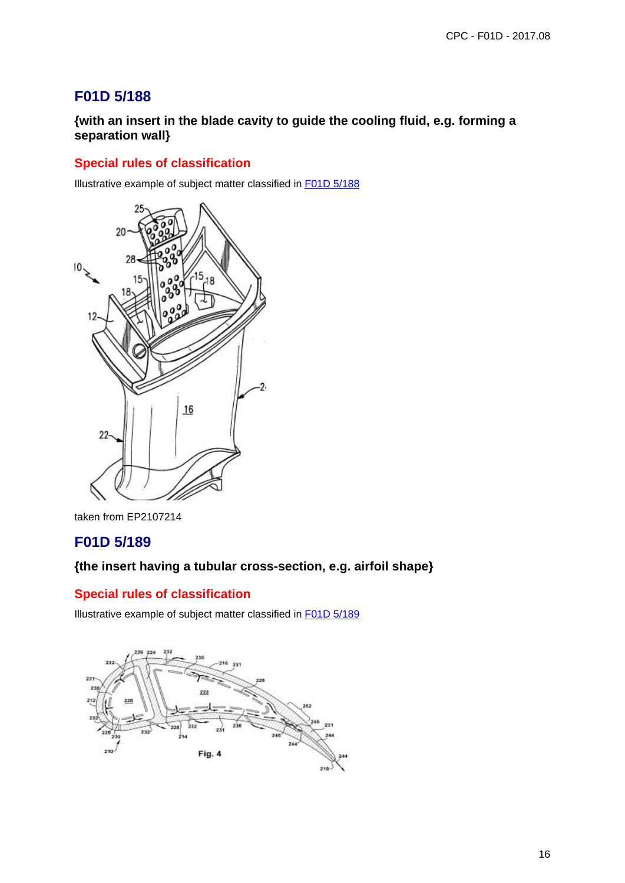# **F01D 5/188**

**{with an insert in the blade cavity to guide the cooling fluid, e.g. forming a separation wall}**

## **Special rules of classification**

Illustrative example of subject matter classified in F01D 5/188

![](_page_15_Figure_5.jpeg)

taken from EP2107214

# **F01D 5/189**

### **{the insert having a tubular cross-section, e.g. airfoil shape}**

### **Special rules of classification**

Illustrative example of subject matter classified in F01D 5/189

![](_page_15_Figure_11.jpeg)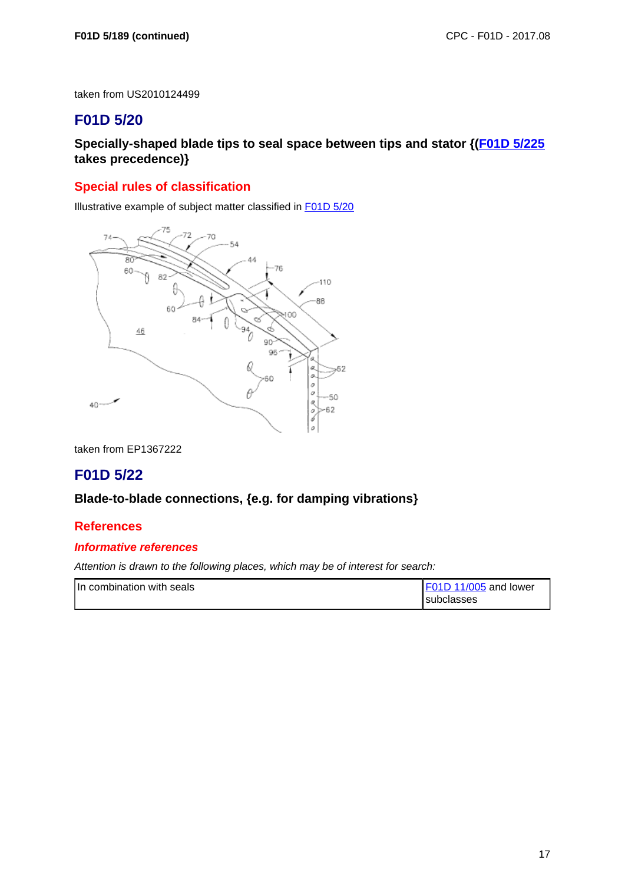taken from US2010124499

# **F01D 5/20**

**Specially-shaped blade tips to seal space between tips and stator {(F01D 5/225 takes precedence)}**

### **Special rules of classification**

Illustrative example of subject matter classified in F01D 5/20

![](_page_16_Figure_7.jpeg)

taken from EP1367222

# **F01D 5/22**

#### **Blade-to-blade connections, {e.g. for damping vibrations}**

### **References**

#### **Informative references**

| In combination with seals | F01D 11/005 and lower |
|---------------------------|-----------------------|
|                           | l subclasses          |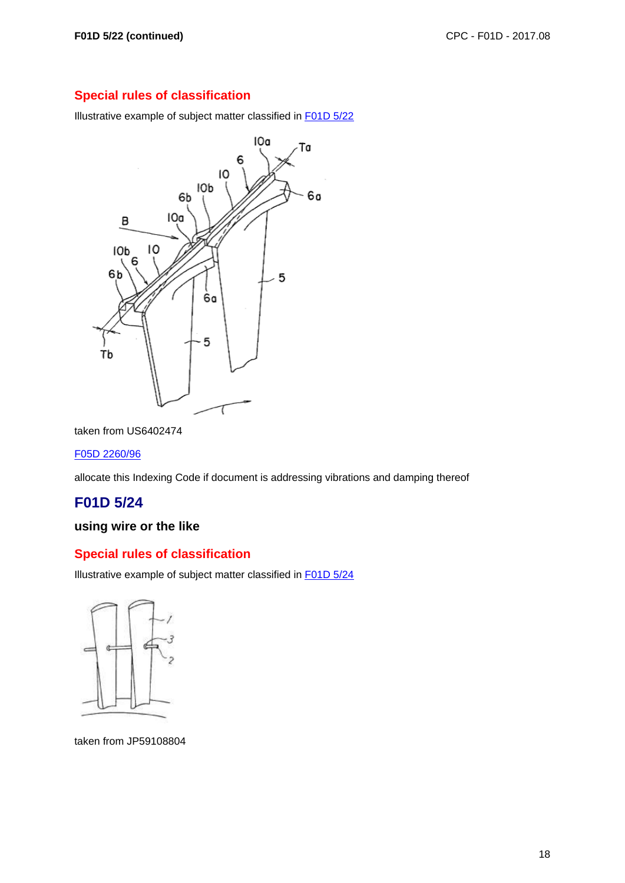Illustrative example of subject matter classified in F01D 5/22

![](_page_17_Figure_4.jpeg)

taken from US6402474

#### F05D 2260/96

allocate this Indexing Code if document is addressing vibrations and damping thereof

# **F01D 5/24**

## **using wire or the like**

#### **Special rules of classification**

Illustrative example of subject matter classified in F01D 5/24

![](_page_17_Figure_12.jpeg)

taken from JP59108804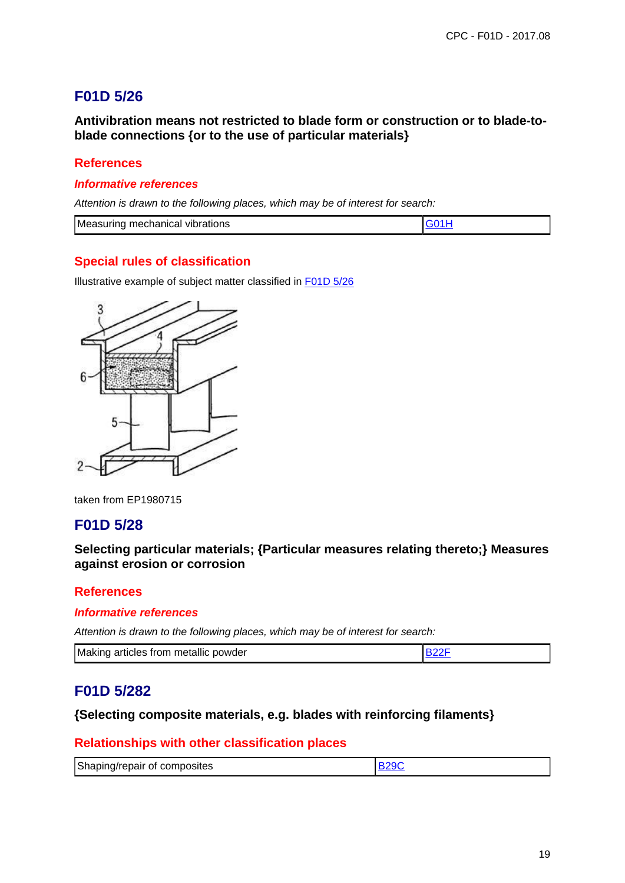# **F01D 5/26**

**Antivibration means not restricted to blade form or construction or to blade-toblade connections {or to the use of particular materials}**

## **References**

#### **Informative references**

Attention is drawn to the following places, which may be of interest for search:

| <b>Measuring mechanical</b><br><b>vibrations</b> |  |
|--------------------------------------------------|--|

### **Special rules of classification**

Illustrative example of subject matter classified in F01D 5/26

![](_page_18_Figure_9.jpeg)

taken from EP1980715

# **F01D 5/28**

**Selecting particular materials; {Particular measures relating thereto;} Measures against erosion or corrosion**

#### **References**

#### **Informative references**

Attention is drawn to the following places, which may be of interest for search:

| Making articles from metallic powder |  |
|--------------------------------------|--|
|--------------------------------------|--|

## **F01D 5/282**

### **{Selecting composite materials, e.g. blades with reinforcing filaments}**

### **Relationships with other classification places**

| Shaping/repair of composites |  |
|------------------------------|--|
|                              |  |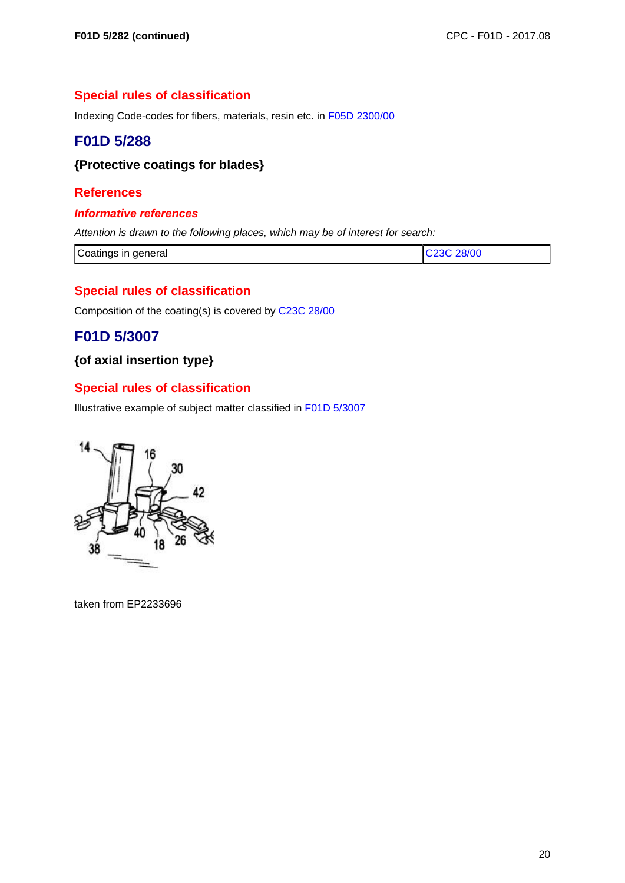Indexing Code-codes for fibers, materials, resin etc. in F05D 2300/00

# **F01D 5/288**

## **{Protective coatings for blades}**

### **References**

#### **Informative references**

Attention is drawn to the following places, which may be of interest for search:

| Coatings in general | C <sub>23</sub> C 28/00 |
|---------------------|-------------------------|
|                     |                         |

## **Special rules of classification**

Composition of the coating(s) is covered by C23C 28/00

# **F01D 5/3007**

## **{of axial insertion type}**

## **Special rules of classification**

Illustrative example of subject matter classified in F01D 5/3007

![](_page_19_Picture_16.jpeg)

taken from EP2233696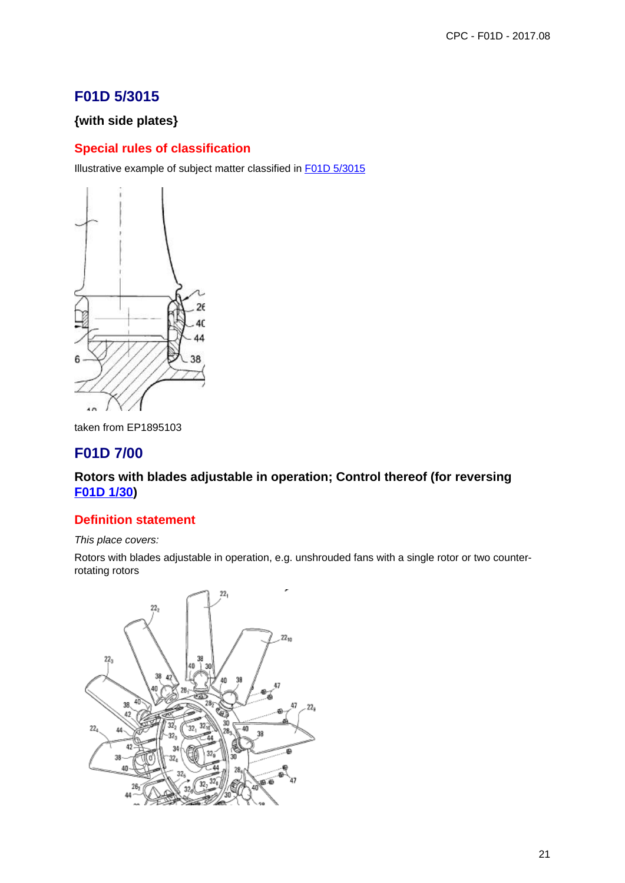# **F01D 5/3015**

## **{with side plates}**

# **Special rules of classification**

Illustrative example of subject matter classified in F01D 5/3015

![](_page_20_Figure_5.jpeg)

taken from EP1895103

# **F01D 7/00**

## **Rotors with blades adjustable in operation; Control thereof (for reversing F01D 1/30)**

### **Definition statement**

#### This place covers:

Rotors with blades adjustable in operation, e.g. unshrouded fans with a single rotor or two counterrotating rotors

![](_page_20_Figure_12.jpeg)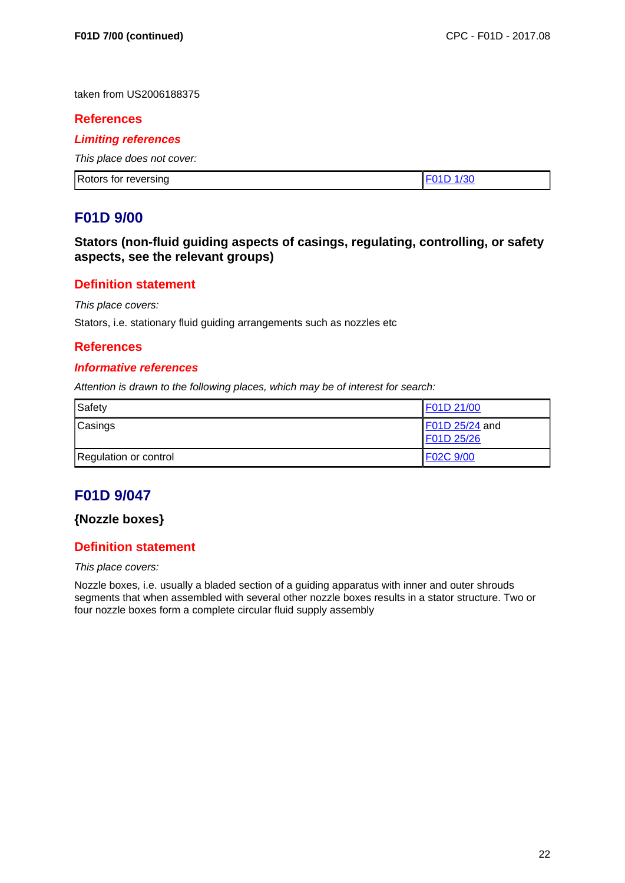taken from US2006188375

#### **References**

#### **Limiting references**

This place does not cover:

| <b>Rotors</b><br>, for reversing |  |
|----------------------------------|--|

## **F01D 9/00**

**Stators (non-fluid guiding aspects of casings, regulating, controlling, or safety aspects, see the relevant groups)**

### **Definition statement**

This place covers:

Stators, i.e. stationary fluid guiding arrangements such as nozzles etc

#### **References**

#### **Informative references**

Attention is drawn to the following places, which may be of interest for search:

| Safety                | F01D 21/00                   |
|-----------------------|------------------------------|
| Casings               | F01D 25/24 and<br>F01D 25/26 |
| Regulation or control | F02C 9/00                    |

# **F01D 9/047**

### **{Nozzle boxes}**

### **Definition statement**

#### This place covers:

Nozzle boxes, i.e. usually a bladed section of a guiding apparatus with inner and outer shrouds segments that when assembled with several other nozzle boxes results in a stator structure. Two or four nozzle boxes form a complete circular fluid supply assembly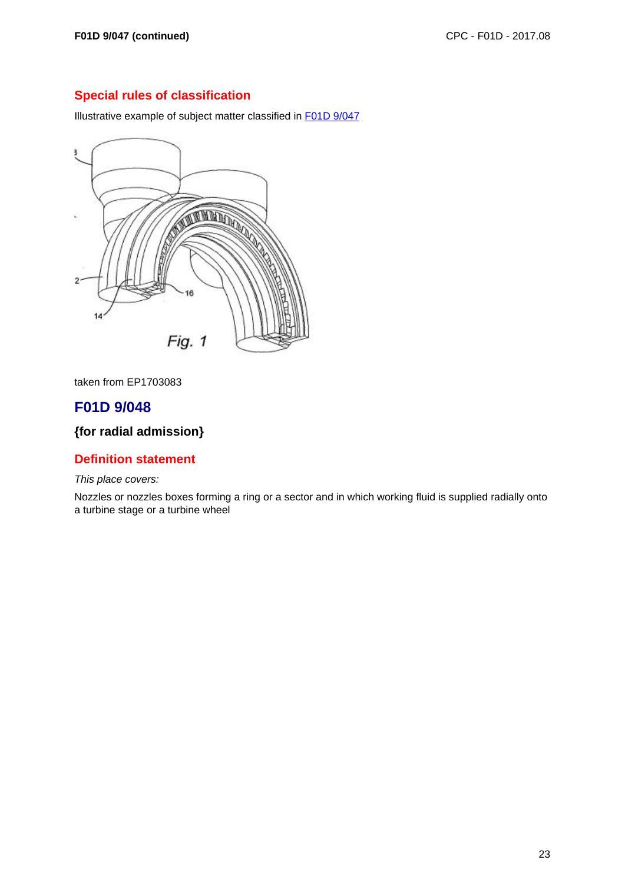Illustrative example of subject matter classified in F01D 9/047

![](_page_22_Figure_4.jpeg)

taken from EP1703083

# **F01D 9/048**

# **{for radial admission}**

### **Definition statement**

This place covers:

Nozzles or nozzles boxes forming a ring or a sector and in which working fluid is supplied radially onto a turbine stage or a turbine wheel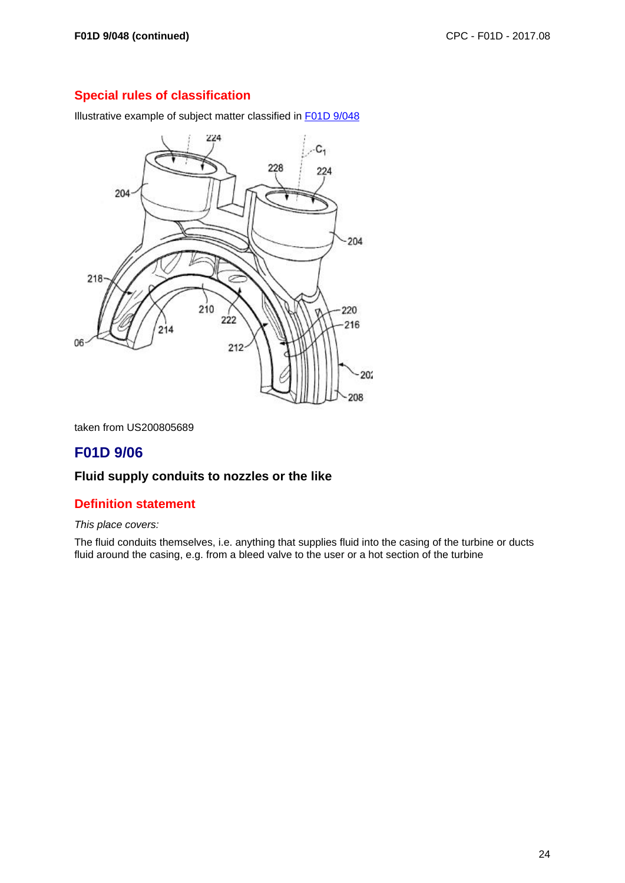Illustrative example of subject matter classified in F01D 9/048

![](_page_23_Figure_4.jpeg)

taken from US200805689

# **F01D 9/06**

## **Fluid supply conduits to nozzles or the like**

### **Definition statement**

#### This place covers:

The fluid conduits themselves, i.e. anything that supplies fluid into the casing of the turbine or ducts fluid around the casing, e.g. from a bleed valve to the user or a hot section of the turbine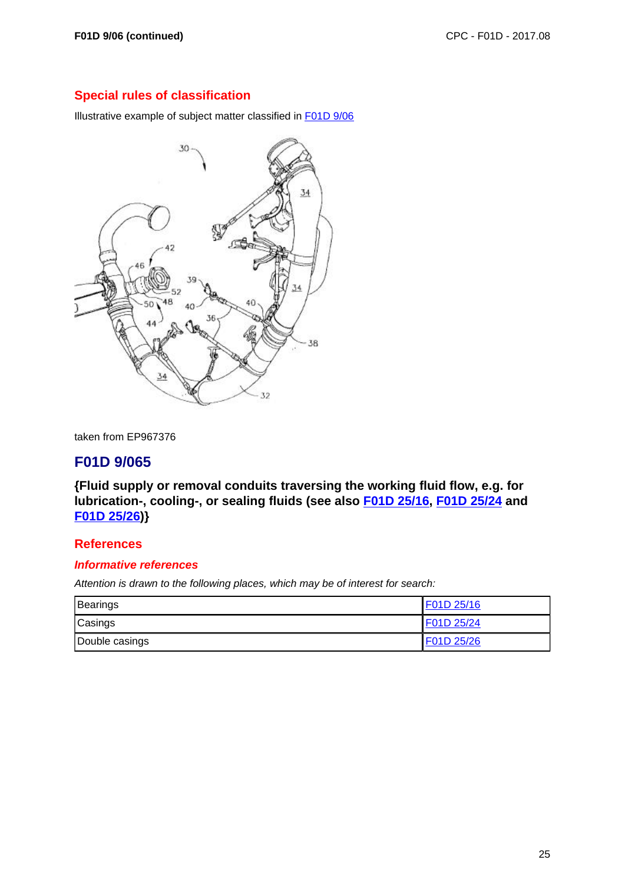Illustrative example of subject matter classified in F01D 9/06

![](_page_24_Picture_4.jpeg)

taken from EP967376

## **F01D 9/065**

**{Fluid supply or removal conduits traversing the working fluid flow, e.g. for lubrication-, cooling-, or sealing fluids (see also F01D 25/16, F01D 25/24 and F01D 25/26)}**

### **References**

#### **Informative references**

| Bearings       | F01D 25/16 |
|----------------|------------|
| Casings        | F01D 25/24 |
| Double casings | F01D 25/26 |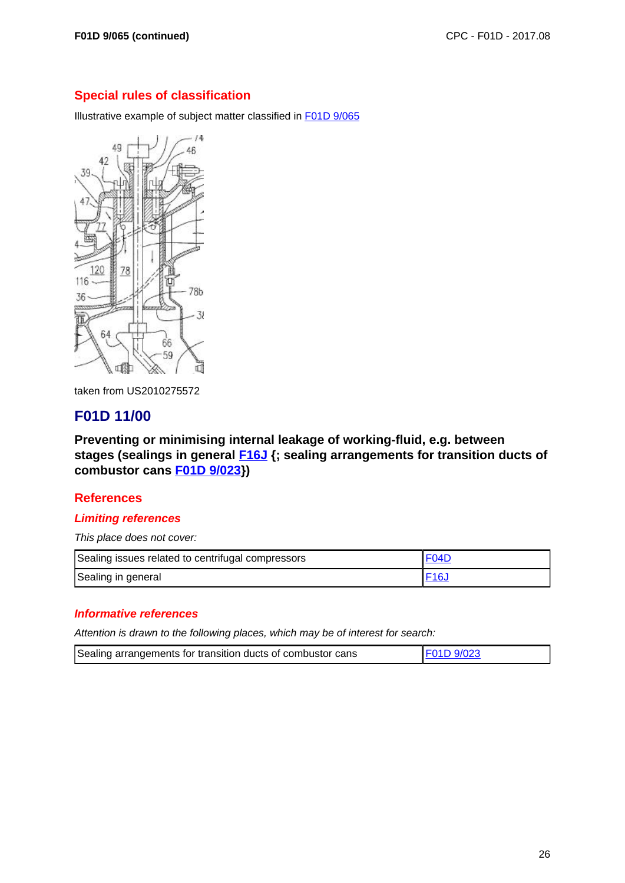Illustrative example of subject matter classified in F01D 9/065

![](_page_25_Figure_4.jpeg)

taken from US2010275572

# **F01D 11/00**

**Preventing or minimising internal leakage of working-fluid, e.g. between stages (sealings in general F16J {; sealing arrangements for transition ducts of combustor cans F01D 9/023})**

### **References**

#### **Limiting references**

This place does not cover:

| Sealing issues related to centrifugal compressors | <b>FO4D</b>     |
|---------------------------------------------------|-----------------|
| Sealing in general                                | F <sub>16</sub> |

#### **Informative references**

| Sealing arrangements for transition ducts of combustor cans | F01D 9/023 |
|-------------------------------------------------------------|------------|
|-------------------------------------------------------------|------------|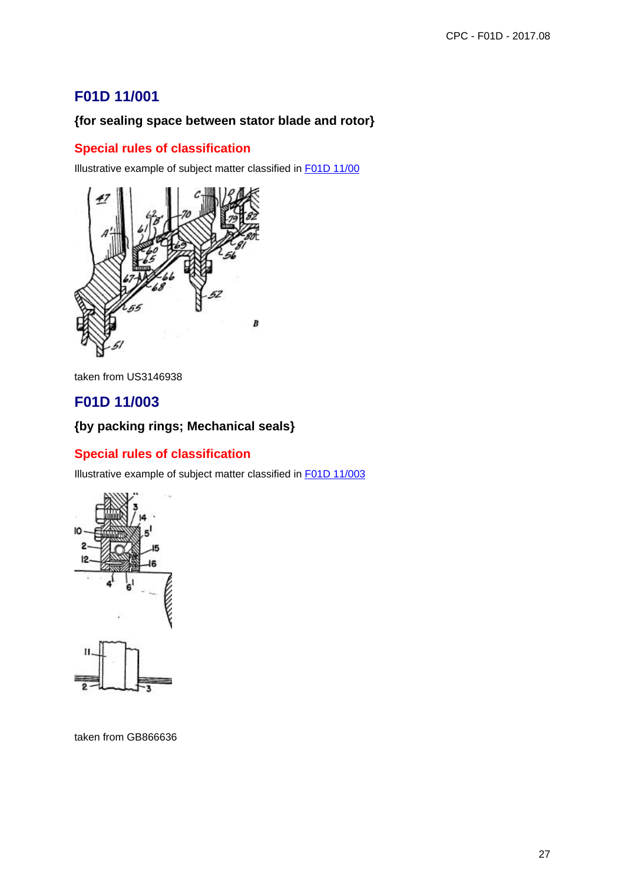# **F01D 11/001**

# **{for sealing space between stator blade and rotor}**

## **Special rules of classification**

Illustrative example of subject matter classified in F01D 11/00

![](_page_26_Picture_5.jpeg)

taken from US3146938

# **F01D 11/003**

# **{by packing rings; Mechanical seals}**

### **Special rules of classification**

Illustrative example of subject matter classified in F01D 11/003

![](_page_26_Figure_11.jpeg)

taken from GB866636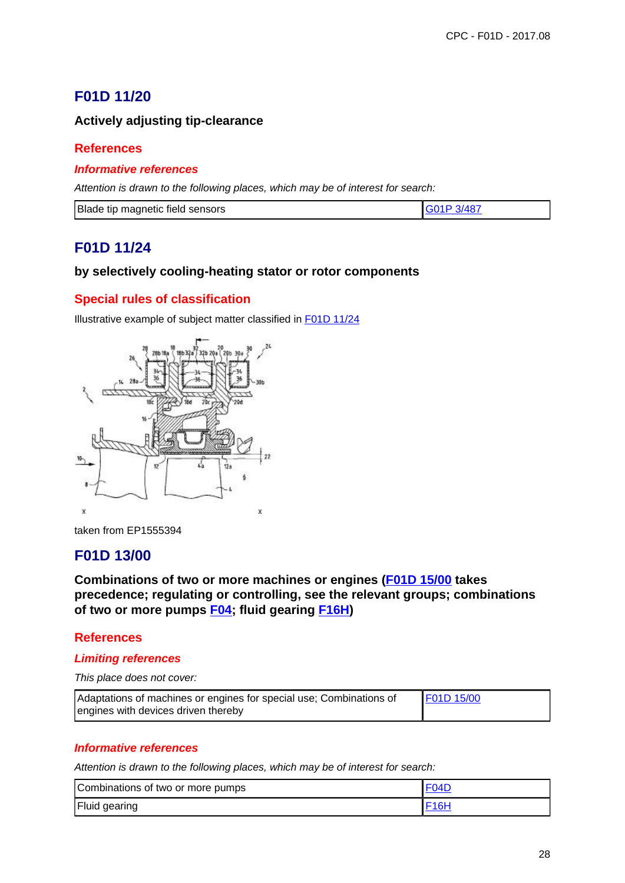# **F01D 11/20**

## **Actively adjusting tip-clearance**

### **References**

### **Informative references**

Attention is drawn to the following places, which may be of interest for search:

| Blade<br>e tip magnetic field sensors |  |
|---------------------------------------|--|

# **F01D 11/24**

### **by selectively cooling-heating stator or rotor components**

## **Special rules of classification**

Illustrative example of subject matter classified in F01D 11/24

![](_page_27_Picture_11.jpeg)

taken from EP1555394

# **F01D 13/00**

**Combinations of two or more machines or engines (F01D 15/00 takes precedence; regulating or controlling, see the relevant groups; combinations of two or more pumps F04; fluid gearing F16H)**

### **References**

#### **Limiting references**

This place does not cover:

| Adaptations of machines or engines for special use; Combinations of | F01D 15/00 |
|---------------------------------------------------------------------|------------|
| engines with devices driven thereby                                 |            |

#### **Informative references**

| Combinations of two or more pumps | <b>F04D</b>       |
|-----------------------------------|-------------------|
| Fluid gearing                     | F <sub>16</sub> H |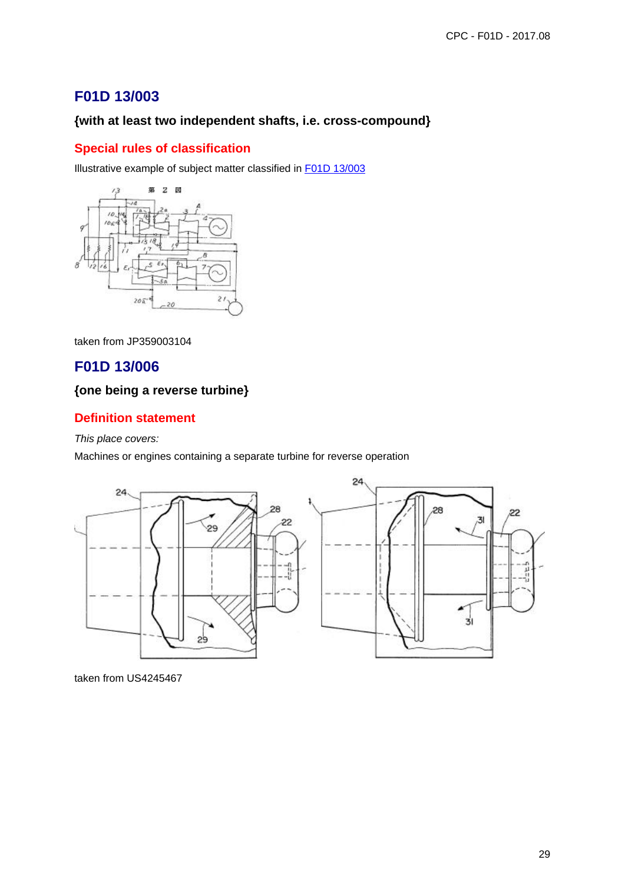# **F01D 13/003**

## **{with at least two independent shafts, i.e. cross-compound}**

## **Special rules of classification**

Illustrative example of subject matter classified in F01D 13/003

![](_page_28_Figure_5.jpeg)

taken from JP359003104

# **F01D 13/006**

# **{one being a reverse turbine}**

## **Definition statement**

This place covers:

Machines or engines containing a separate turbine for reverse operation

![](_page_28_Figure_12.jpeg)

taken from US4245467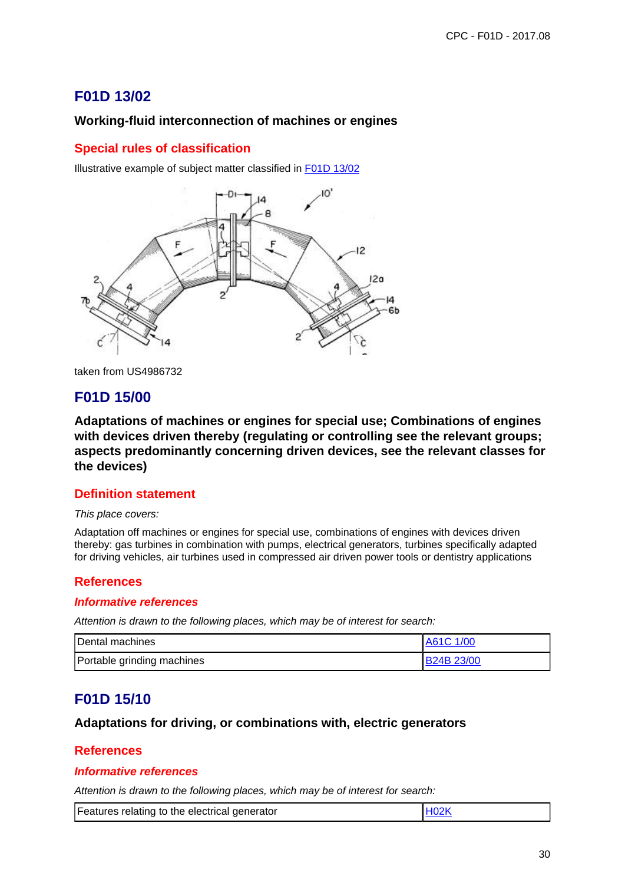# **F01D 13/02**

## **Working-fluid interconnection of machines or engines**

## **Special rules of classification**

Illustrative example of subject matter classified in F01D 13/02

![](_page_29_Figure_5.jpeg)

taken from US4986732

# **F01D 15/00**

**Adaptations of machines or engines for special use; Combinations of engines with devices driven thereby (regulating or controlling see the relevant groups; aspects predominantly concerning driven devices, see the relevant classes for the devices)**

#### **Definition statement**

#### This place covers:

Adaptation off machines or engines for special use, combinations of engines with devices driven thereby: gas turbines in combination with pumps, electrical generators, turbines specifically adapted for driving vehicles, air turbines used in compressed air driven power tools or dentistry applications

### **References**

#### **Informative references**

Attention is drawn to the following places, which may be of interest for search:

| Dental machines            | A61C 1/00         |
|----------------------------|-------------------|
| Portable grinding machines | <b>B24B 23/00</b> |

# **F01D 15/10**

### **Adaptations for driving, or combinations with, electric generators**

#### **References**

#### **Informative references**

|  | Features relating to the electrical generator | H02K |
|--|-----------------------------------------------|------|
|--|-----------------------------------------------|------|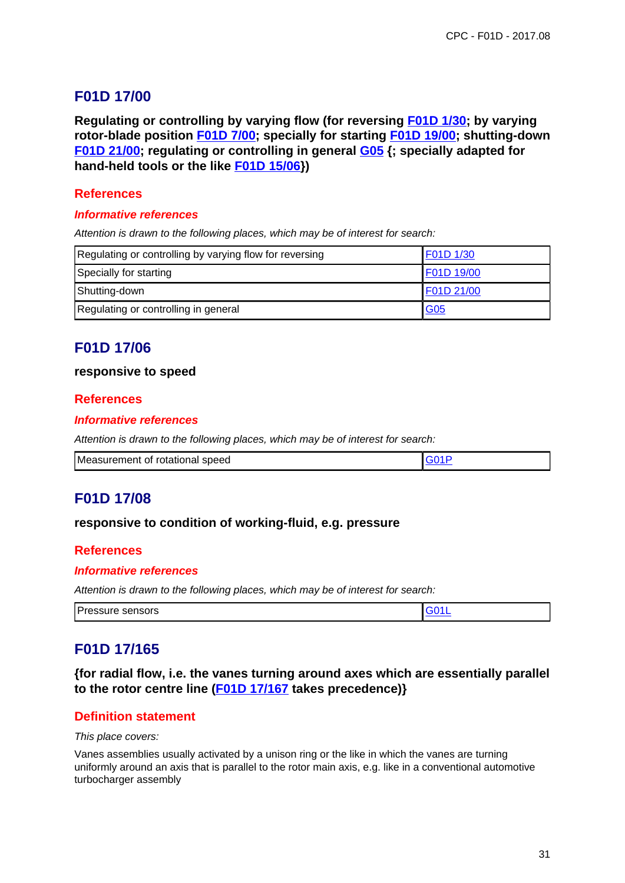# **F01D 17/00**

**Regulating or controlling by varying flow (for reversing F01D 1/30; by varying rotor-blade position F01D 7/00; specially for starting F01D 19/00; shutting-down F01D 21/00; regulating or controlling in general G05 {; specially adapted for hand-held tools or the like F01D 15/06})**

### **References**

#### **Informative references**

Attention is drawn to the following places, which may be of interest for search:

| Regulating or controlling by varying flow for reversing | F01D 1/30  |
|---------------------------------------------------------|------------|
| Specially for starting                                  | F01D 19/00 |
| Shutting-down                                           | F01D 21/00 |
| Regulating or controlling in general                    | G05        |

# **F01D 17/06**

#### **responsive to speed**

#### **References**

#### **Informative references**

Attention is drawn to the following places, which may be of interest for search:

| Measurement of rotational speed |  |
|---------------------------------|--|
|---------------------------------|--|

### **F01D 17/08**

#### **responsive to condition of working-fluid, e.g. pressure**

#### **References**

#### **Informative references**

Attention is drawn to the following places, which may be of interest for search:

| .<br>Pressure sensors |  |
|-----------------------|--|

## **F01D 17/165**

**{for radial flow, i.e. the vanes turning around axes which are essentially parallel to the rotor centre line (F01D 17/167 takes precedence)}**

#### **Definition statement**

#### This place covers:

Vanes assemblies usually activated by a unison ring or the like in which the vanes are turning uniformly around an axis that is parallel to the rotor main axis, e.g. like in a conventional automotive turbocharger assembly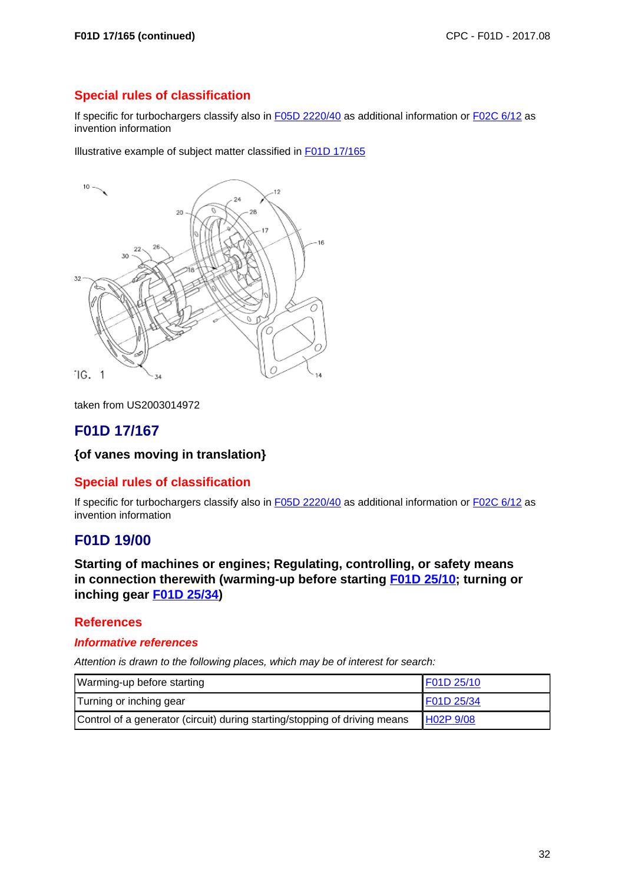If specific for turbochargers classify also in F05D 2220/40 as additional information or F02C 6/12 as invention information

Illustrative example of subject matter classified in F01D 17/165

![](_page_31_Picture_5.jpeg)

taken from US2003014972

# **F01D 17/167**

### **{of vanes moving in translation}**

### **Special rules of classification**

If specific for turbochargers classify also in F05D 2220/40 as additional information or F02C 6/12 as invention information

## **F01D 19/00**

**Starting of machines or engines; Regulating, controlling, or safety means in connection therewith (warming-up before starting F01D 25/10; turning or inching gear F01D 25/34)**

#### **References**

#### **Informative references**

| Warming-up before starting                                                 | F01D 25/10 |
|----------------------------------------------------------------------------|------------|
| Turning or inching gear                                                    | F01D 25/34 |
| Control of a generator (circuit) during starting/stopping of driving means | H02P 9/08  |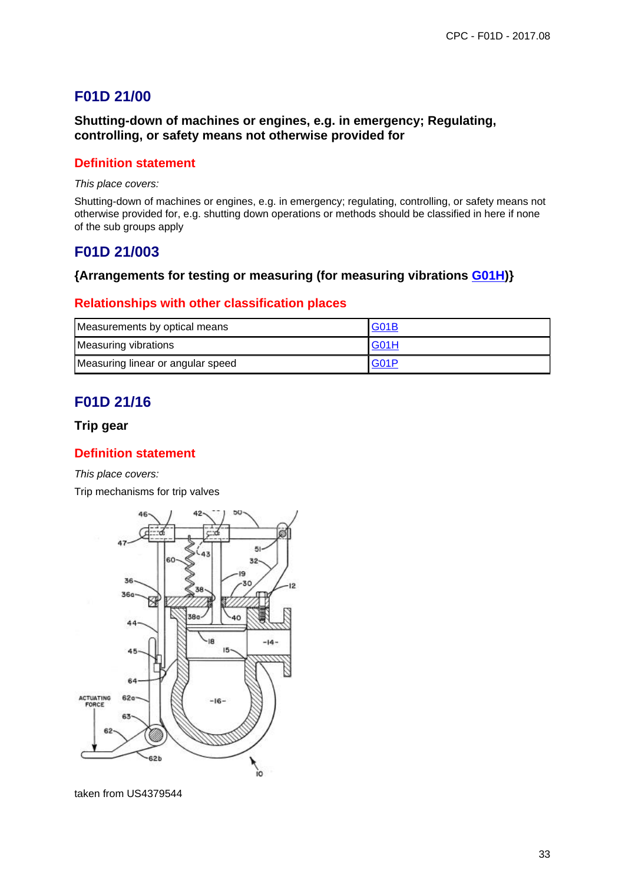# **F01D 21/00**

### **Shutting-down of machines or engines, e.g. in emergency; Regulating, controlling, or safety means not otherwise provided for**

### **Definition statement**

This place covers:

Shutting-down of machines or engines, e.g. in emergency; regulating, controlling, or safety means not otherwise provided for, e.g. shutting down operations or methods should be classified in here if none of the sub groups apply

# **F01D 21/003**

### **{Arrangements for testing or measuring (for measuring vibrations G01H)}**

### **Relationships with other classification places**

| Measurements by optical means     | <b>G01B</b>       |
|-----------------------------------|-------------------|
| Measuring vibrations              | <b>G01H</b>       |
| Measuring linear or angular speed | G <sub>0</sub> 1P |

# **F01D 21/16**

#### **Trip gear**

### **Definition statement**

This place covers:

Trip mechanisms for trip valves

![](_page_32_Figure_15.jpeg)

taken from US4379544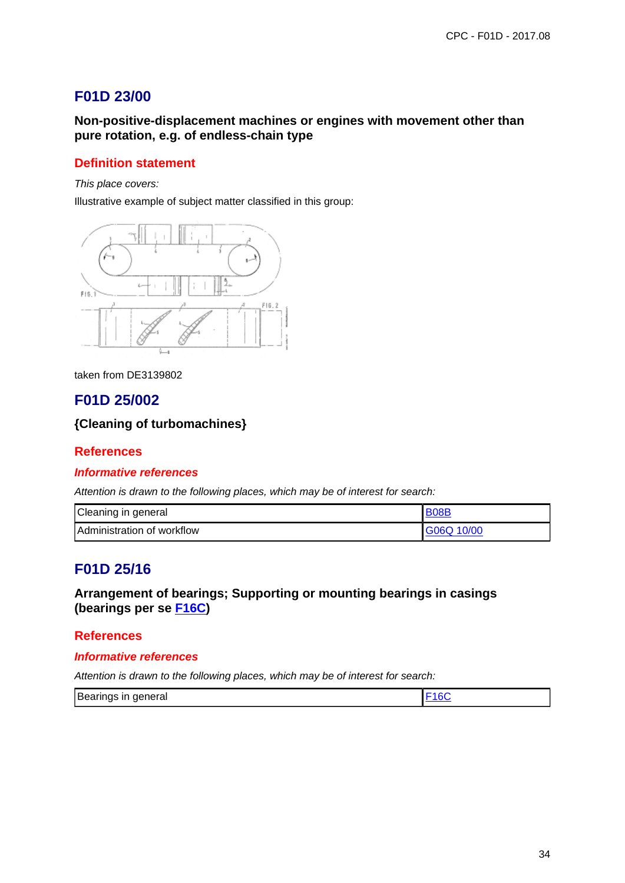# **F01D 23/00**

### **Non-positive-displacement machines or engines with movement other than pure rotation, e.g. of endless-chain type**

### **Definition statement**

This place covers:

Illustrative example of subject matter classified in this group:

![](_page_33_Figure_6.jpeg)

taken from DE3139802

# **F01D 25/002**

### **{Cleaning of turbomachines}**

#### **References**

#### **Informative references**

Attention is drawn to the following places, which may be of interest for search:

| Cleaning in general                | <b>BO8F</b> |
|------------------------------------|-------------|
| <b>IAdministration of workflow</b> | G06Q 10/00  |

## **F01D 25/16**

## **Arrangement of bearings; Supporting or mounting bearings in casings (bearings per se F16C)**

#### **References**

#### **Informative references**

| Bearings in general |  |
|---------------------|--|
|---------------------|--|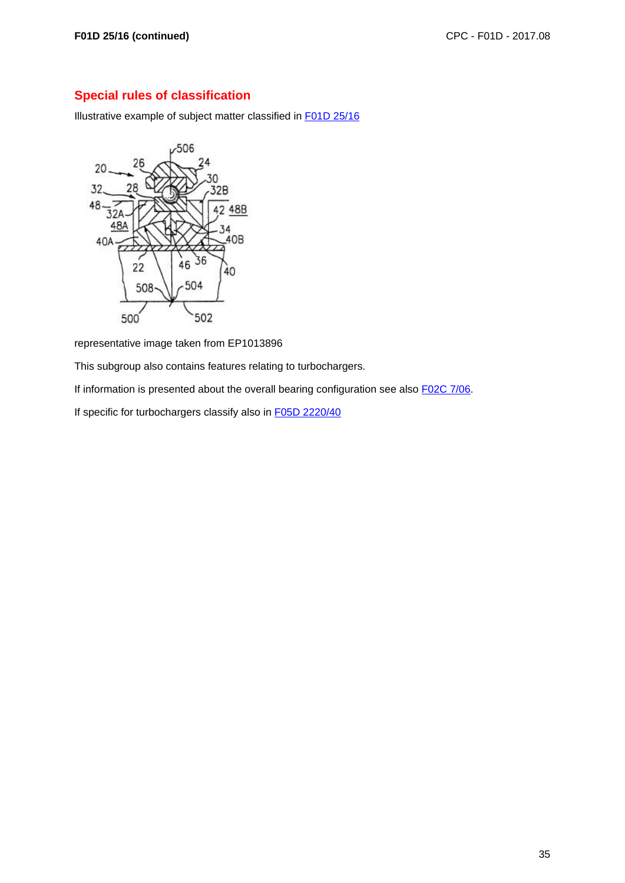Illustrative example of subject matter classified in F01D 25/16

![](_page_34_Figure_4.jpeg)

representative image taken from EP1013896

This subgroup also contains features relating to turbochargers.

If information is presented about the overall bearing configuration see also F02C 7/06.

If specific for turbochargers classify also in F05D 2220/40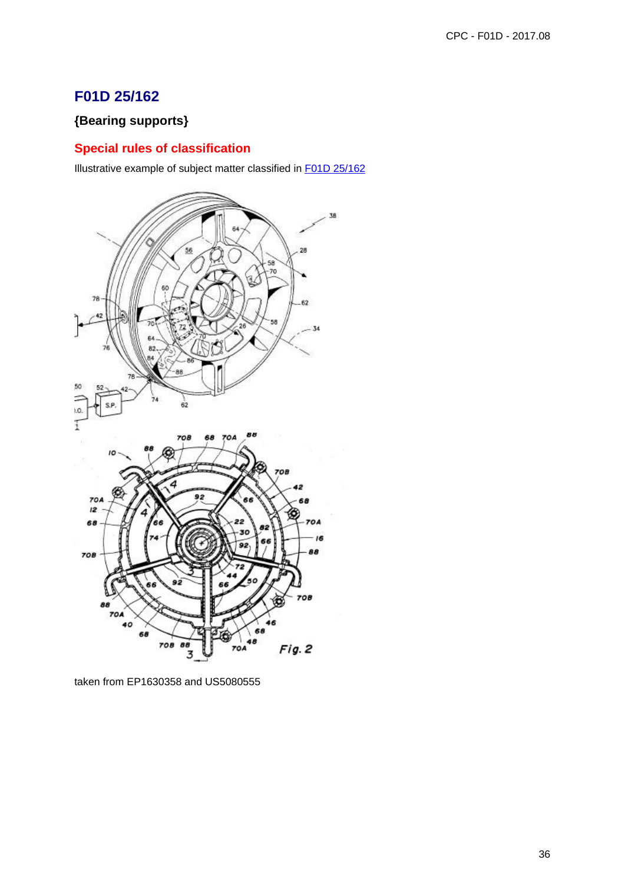# **F01D 25/162**

# **{Bearing supports}**

# **Special rules of classification**

Illustrative example of subject matter classified in F01D 25/162

![](_page_35_Figure_5.jpeg)

taken from EP1630358 and US5080555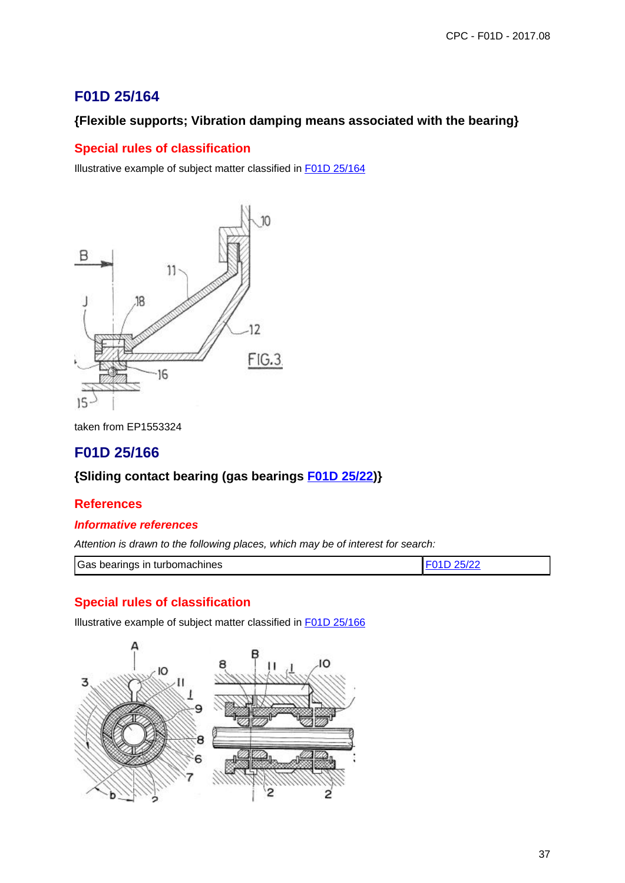# **F01D 25/164**

# **{Flexible supports; Vibration damping means associated with the bearing}**

## **Special rules of classification**

Illustrative example of subject matter classified in F01D 25/164

![](_page_36_Figure_5.jpeg)

taken from EP1553324

# **F01D 25/166**

## **{Sliding contact bearing (gas bearings F01D 25/22)}**

### **References**

### **Informative references**

Attention is drawn to the following places, which may be of interest for search:

| Gas bearings in turbomachines |  |
|-------------------------------|--|

## **Special rules of classification**

Illustrative example of subject matter classified in F01D 25/166

![](_page_36_Figure_15.jpeg)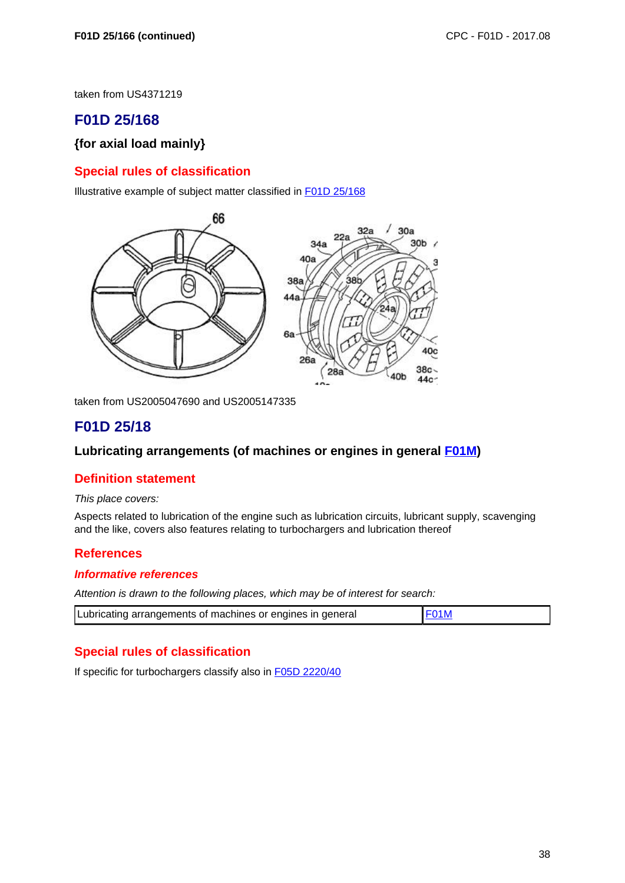taken from US4371219

# **F01D 25/168**

### **{for axial load mainly}**

### **Special rules of classification**

Illustrative example of subject matter classified in F01D 25/168

![](_page_37_Figure_7.jpeg)

taken from US2005047690 and US2005147335

# **F01D 25/18**

#### **Lubricating arrangements (of machines or engines in general F01M)**

#### **Definition statement**

This place covers:

Aspects related to lubrication of the engine such as lubrication circuits, lubricant supply, scavenging and the like, covers also features relating to turbochargers and lubrication thereof

#### **References**

#### **Informative references**

Attention is drawn to the following places, which may be of interest for search:

| Lubricating arrangements of machines or engines in general | <b>IF01M</b> |
|------------------------------------------------------------|--------------|
|------------------------------------------------------------|--------------|

### **Special rules of classification**

If specific for turbochargers classify also in F05D 2220/40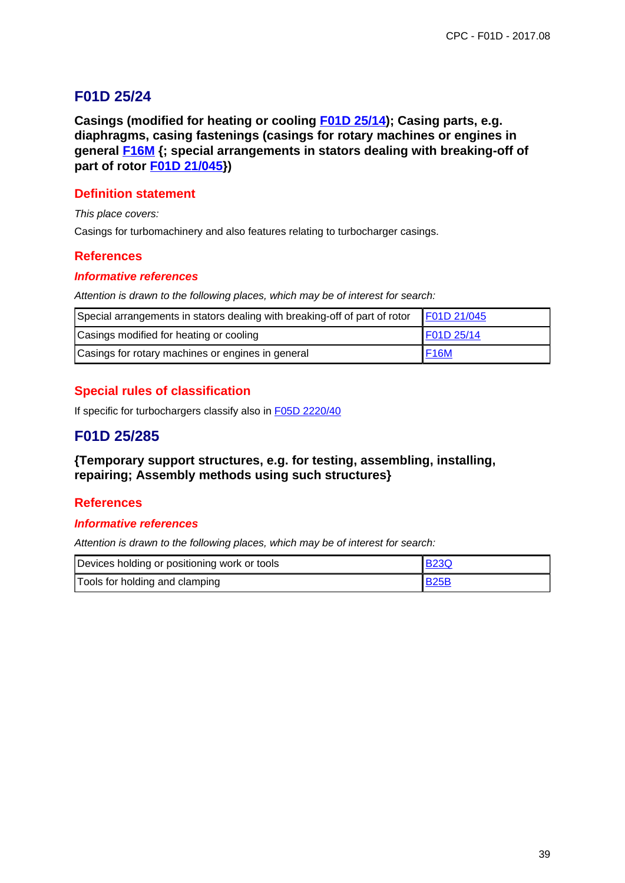# **F01D 25/24**

**Casings (modified for heating or cooling F01D 25/14); Casing parts, e.g. diaphragms, casing fastenings (casings for rotary machines or engines in general F16M {; special arrangements in stators dealing with breaking-off of part of rotor F01D 21/045})**

## **Definition statement**

This place covers:

Casings for turbomachinery and also features relating to turbocharger casings.

### **References**

#### **Informative references**

Attention is drawn to the following places, which may be of interest for search:

| Special arrangements in stators dealing with breaking-off of part of rotor | F01D 21/045 |
|----------------------------------------------------------------------------|-------------|
| Casings modified for heating or cooling                                    | F01D 25/14  |
| Casings for rotary machines or engines in general                          | <b>F16M</b> |

## **Special rules of classification**

If specific for turbochargers classify also in F05D 2220/40

# **F01D 25/285**

### **{Temporary support structures, e.g. for testing, assembling, installing, repairing; Assembly methods using such structures}**

### **References**

#### **Informative references**

| Devices holding or positioning work or tools | <b>B23Q</b> |
|----------------------------------------------|-------------|
| Tools for holding and clamping               | <b>B25B</b> |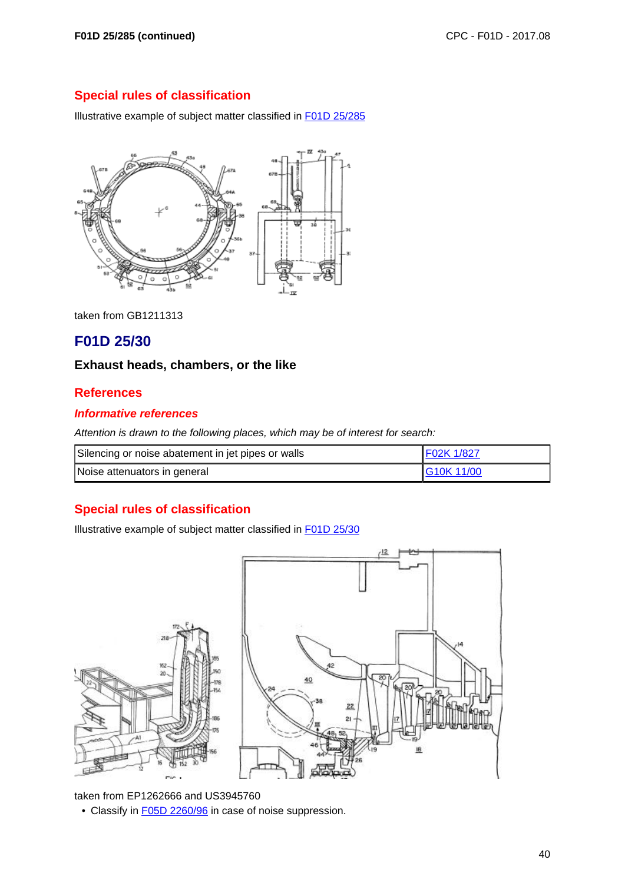Illustrative example of subject matter classified in F01D 25/285

![](_page_39_Figure_4.jpeg)

taken from GB1211313

# **F01D 25/30**

### **Exhaust heads, chambers, or the like**

### **References**

### **Informative references**

Attention is drawn to the following places, which may be of interest for search:

| Silencing or noise abatement in jet pipes or walls | F02K 1/827       |
|----------------------------------------------------|------------------|
| Noise attenuators in general                       | <b>G10K11/00</b> |

## **Special rules of classification**

Illustrative example of subject matter classified in F01D 25/30

![](_page_39_Figure_14.jpeg)

taken from EP1262666 and US3945760

• Classify in **F05D 2260/96** in case of noise suppression.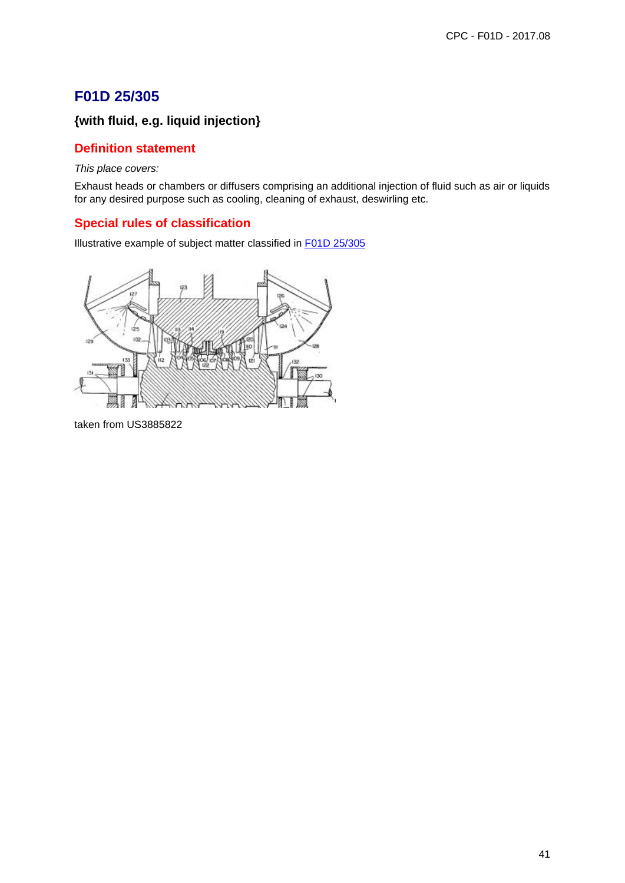# **F01D 25/305**

# **{with fluid, e.g. liquid injection}**

### **Definition statement**

This place covers:

Exhaust heads or chambers or diffusers comprising an additional injection of fluid such as air or liquids for any desired purpose such as cooling, cleaning of exhaust, deswirling etc.

## **Special rules of classification**

Illustrative example of subject matter classified in F01D 25/305

![](_page_40_Figure_8.jpeg)

taken from US3885822